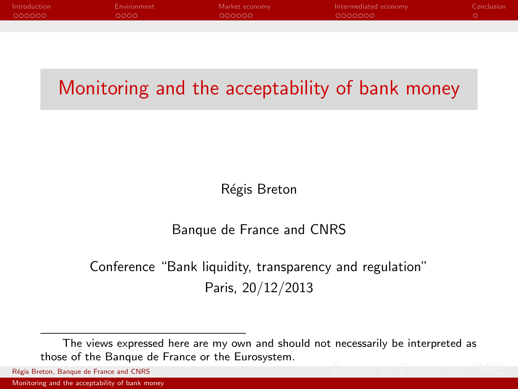| Introduction | Environment | Market economy | Intermediated economy | Conclusion |
|--------------|-------------|----------------|-----------------------|------------|
| 000000       | 0000        | 000000         | 0000000               |            |
|              |             |                |                       |            |

## Monitoring and the acceptability of bank money

<span id="page-0-0"></span>Régis Breton

Banque de France and CNRS

Conference "Bank liquidity, transparency and regulation" Paris, 20/12/2013

The views expressed here are my own and should not necessarily be interpreted as those of the Banque de France or the Eurosystem.

Régis Breton, Banque de France and CNRS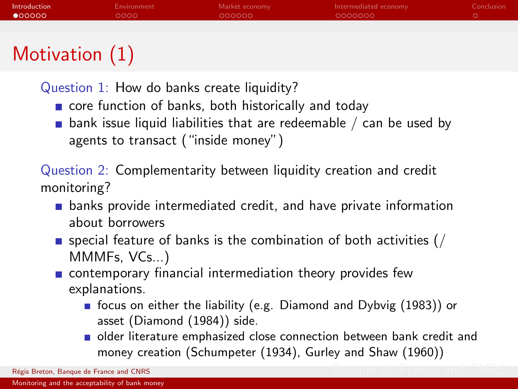| Introduction<br>$\bullet$ 00000 | Environment<br>0000 | Market economy<br>looooo - | Intermediated economy<br>0000000 | Conclusion |
|---------------------------------|---------------------|----------------------------|----------------------------------|------------|
|                                 |                     |                            |                                  |            |
|                                 |                     |                            |                                  |            |

# Motivation (1)

Question 1: How do banks create liquidity?

- core function of banks, both historically and today
- **E** bank issue liquid liabilities that are redeemable  $\ell$  can be used by agents to transact ("inside money")

Question 2: Complementarity between liquidity creation and credit monitoring?

- **E** banks provide intermediated credit, and have private information about borrowers
- **s** special feature of banks is the combination of both activities ( $/$ MMMFs, VCs...)
- <span id="page-1-0"></span>**n** contemporary financial intermediation theory provides few explanations.
	- focus on either the liability (e.g. Diamond and Dybvig (1983)) or asset (Diamond (1984)) side.
	- older literature emphasized close connection between bank credit and money creation (Schumpeter (1934), Gurley and Shaw (1960))

Régis Breton, Banque de France and CNRS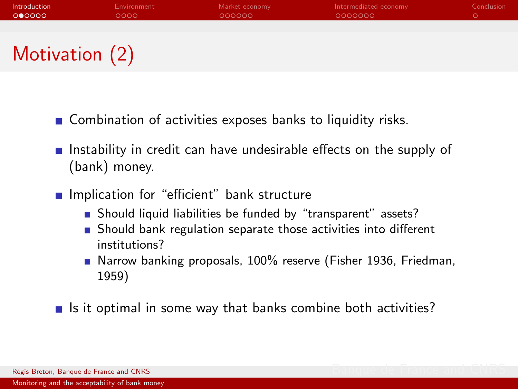| Introduction   | Environment | Market economy | Intermediated economy | Conclusion |
|----------------|-------------|----------------|-----------------------|------------|
| 000000         | 0000        | 000000         | 0000000               |            |
|                |             |                |                       |            |
|                |             |                |                       |            |
| Motivation (2) |             |                |                       |            |

- Combination of activities exposes banks to liquidity risks.
- **Instability in credit can have undesirable effects on the supply of** (bank) money.
- **Implication for "efficient" bank structure** 
	- Should liquid liabilities be funded by "transparent" assets?
	- **Should bank regulation separate those activities into different** institutions?
	- Narrow banking proposals, 100% reserve (Fisher 1936, Friedman, 1959)

If is it optimal in some way that banks combine both activities?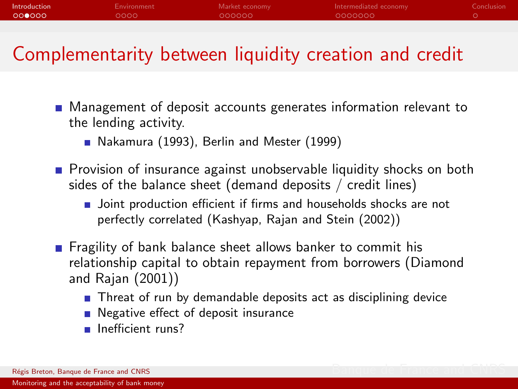| Introduction | Environment | Market economy | Intermediated economy | Conclusion |
|--------------|-------------|----------------|-----------------------|------------|
| 000000       | 0000        | 000000         | 0000000               |            |
|              |             |                |                       |            |

## Complementarity between liquidity creation and credit

- **Management of deposit accounts generates information relevant to** the lending activity.
	- Nakamura (1993), Berlin and Mester (1999)
- **Provision of insurance against unobservable liquidity shocks on both** sides of the balance sheet (demand deposits / credit lines)
	- **Joint production efficient if firms and households shocks are not** perfectly correlated (Kashyap, Rajan and Stein (2002))
- **Figure 1** Fragility of bank balance sheet allows banker to commit his relationship capital to obtain repayment from borrowers (Diamond and Rajan (2001))
	- **Threat of run by demandable deposits act as disciplining device**
	- Negative effect of deposit insurance
	- **Inefficient runs?**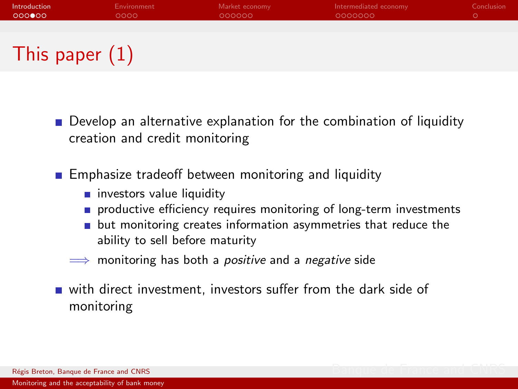| Introduction     | Environment | Market economy | Intermediated economy | Conclusion |
|------------------|-------------|----------------|-----------------------|------------|
| 000000           | 0000        | 000000         | 0000000               |            |
|                  |             |                |                       |            |
|                  |             |                |                       |            |
| This paper $(1)$ |             |                |                       |            |

- **Develop an alternative explanation for the combination of liquidity** creation and credit monitoring
- **Emphasize tradeoff between monitoring and liquidity** 
	- **n** investors value liquidity
	- **productive efficiency requires monitoring of long-term investments**
	- **but monitoring creates information asymmetries that reduce the** ability to sell before maturity
	- $\implies$  monitoring has both a *positive* and a *negative* side
- with direct investment, investors suffer from the dark side of monitoring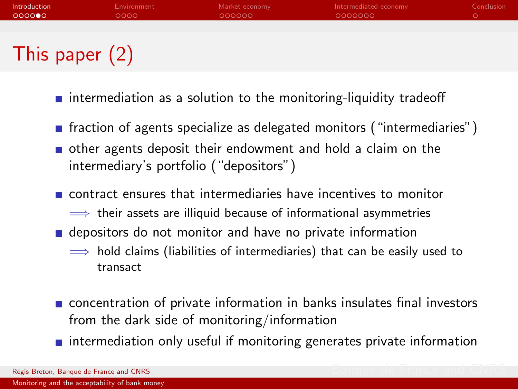| <b>Introduction</b> | Environment | Market economy | Intermediated economy | Conclusion |
|---------------------|-------------|----------------|-----------------------|------------|
| 000000              | 0000        | 000000         | 0000000               |            |
|                     |             |                |                       |            |
|                     |             |                |                       |            |
| This paper $(2)$    |             |                |                       |            |

- **n** intermediation as a solution to the monitoring-liquidity tradeoff
- **fraction of agents specialize as delegated monitors ("intermediaries")**
- other agents deposit their endowment and hold a claim on the intermediary's portfolio ("depositors")
- contract ensures that intermediaries have incentives to monitor  $\implies$  their assets are illiquid because of informational asymmetries
- depositors do not monitor and have no private information
	- $\implies$  hold claims (liabilities of intermediaries) that can be easily used to transact
- **n** concentration of private information in banks insulates final investors from the dark side of monitoring/information
- $\blacksquare$  intermediation only useful if monitoring generates private information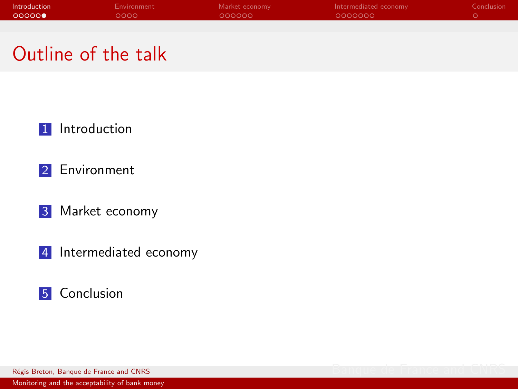| Introduction | Environment | Market economy | Intermediated economy | Conclusion |
|--------------|-------------|----------------|-----------------------|------------|
| - ○○○○○●     | 0000        | 000000         | 0000000               |            |
|              |             |                |                       |            |

### Outline of the talk

#### 1 [Introduction](#page-1-0)

- 2 [Environment](#page-7-0)
- 3 [Market economy](#page-11-0)
- 4 [Intermediated economy](#page-17-0)

#### **5** [Conclusion](#page-24-0)

Régis Breton, Banque de France and CNRS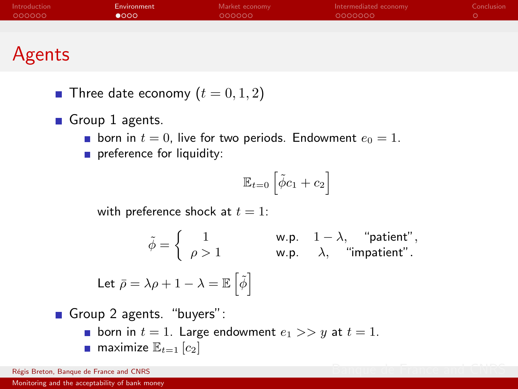| Introduction | Environment   | Market economy | Intermediated economy | Conclusion |
|--------------|---------------|----------------|-----------------------|------------|
| - 000000     | $\bullet$ 000 | 000000         | 0000000               |            |
|              |               |                |                       |            |
|              |               |                |                       |            |

## Agents

- Three date economy  $(t = 0, 1, 2)$
- Group 1 agents.
	- **born** in  $t = 0$ , live for two periods. Endowment  $e_0 = 1$ .
	- preference for liquidity:

<span id="page-7-0"></span>
$$
\mathbb{E}_{t=0}\left[\tilde{\phi}c_1+c_2\right]
$$

with preference shock at  $t = 1$ :

$$
\tilde{\phi} = \left\{ \begin{array}{ccc} 1 & \text{w.p.} & 1 - \lambda, & \text{``patient''}, \\ \rho > 1 & \text{w.p.} & \lambda, & \text{``impactient''}. \end{array} \right.
$$

Let 
$$
\bar{\rho} = \lambda \rho + 1 - \lambda = \mathbb{E} \left[ \tilde{\phi} \right]
$$

Group 2 agents. "buyers": **born** in  $t = 1$ . Large endowment  $e_1 >> y$  at  $t = 1$ . **maximize**  $\mathbb{E}_{t=1}$   $[c_2]$ 

Régis Breton, Banque de France and CNRS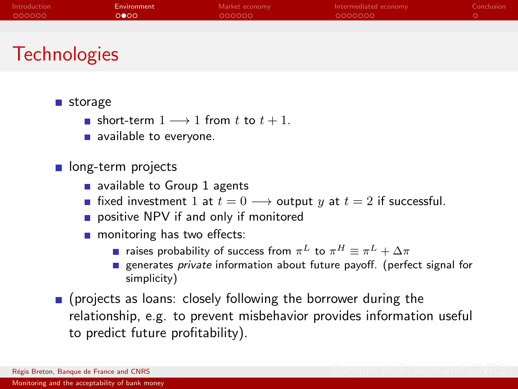| Introduction | Environment | Market economy | Intermediated economy | Conclusion |
|--------------|-------------|----------------|-----------------------|------------|
| 000000       | ററേറ        | LOOOOOO        | 0000000               |            |
|              |             |                |                       |            |

## **Technologies**

#### storage

- short-term  $1 \rightarrow 1$  from t to  $t + 1$ .
- available to everyone.
- ong-term projects
	- available to Group 1 agents
	- **■** fixed investment 1 at  $t = 0 \longrightarrow$  output y at  $t = 2$  if successful.
	- positive NPV if and only if monitored
	- **n** monitoring has two effects:
		- raises probability of success from  $\pi^L$  to  $\pi^H \equiv \pi^L + \Delta \pi$
		- generates *private* information about future payoff. (perfect signal for simplicity)
- (projects as loans: closely following the borrower during the relationship, e.g. to prevent misbehavior provides information useful to predict future profitability).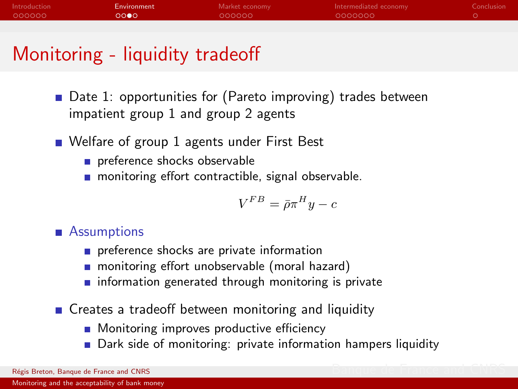| Introduction | Environment. | Market economy | Intermediated economy | Conclusion |
|--------------|--------------|----------------|-----------------------|------------|
| 000000       | റററെ         | LOOOOOO        | 0000000               |            |
|              |              |                |                       |            |

## Monitoring - liquidity tradeoff

- $\blacksquare$  Date 1: opportunities for (Pareto improving) trades between impatient group 1 and group 2 agents
- Welfare of group 1 agents under First Best
	- preference shocks observable
	- **n** monitoring effort contractible, signal observable.

$$
\boldsymbol{V}^{FB}=\bar{\rho}\boldsymbol{\pi}^{H}\boldsymbol{y}-\boldsymbol{c}
$$

**Assumptions** 

- preference shocks are private information
- **n** monitoring effort unobservable (moral hazard)
- $\blacksquare$  information generated through monitoring is private
- Creates a tradeoff between monitoring and liquidity
	- **Monitoring improves productive efficiency**
	- Dark side of monitoring: private information hampers liquidity

Régis Breton, Banque de France and CNRS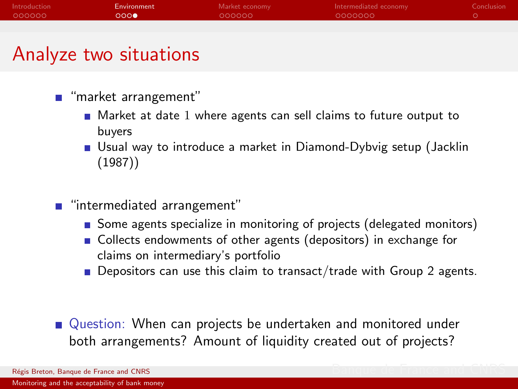| Introduction | Environment | Market economy | Intermediated economy | Conclusion |
|--------------|-------------|----------------|-----------------------|------------|
| - 000000     | 000         | loooooo        | - ററററററ              |            |
|              |             |                |                       |            |

#### Analyze two situations

- "market arrangement"
	- Market at date 1 where agents can sell claims to future output to buyers
	- Usual way to introduce a market in Diamond-Dybvig setup (Jacklin (1987))
- "intermediated arrangement"
	- Some agents specialize in monitoring of projects (delegated monitors)
	- Collects endowments of other agents (depositors) in exchange for claims on intermediary's portfolio
	- Depositors can use this claim to transact/trade with Group 2 agents.
- Question: When can projects be undertaken and monitored under both arrangements? Amount of liquidity created out of projects?

Régis Breton, Banque de France and CNRS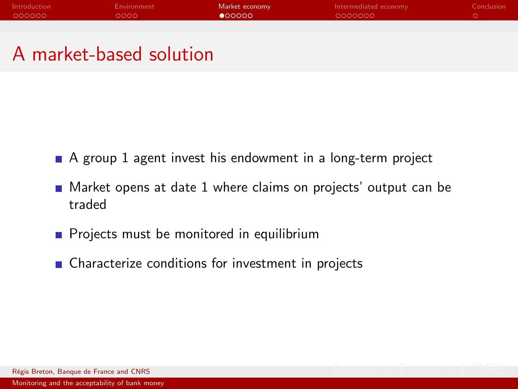| Introduction | <b>Environment</b> | Market economy | Intermediated economy | Conclusion |
|--------------|--------------------|----------------|-----------------------|------------|
| 000000       | 0000               | 000000         | 0000000               |            |
|              |                    |                |                       |            |

#### A market-based solution

- A group 1 agent invest his endowment in a long-term project
- **Market opens at date 1 where claims on projects' output can be** traded
- Projects must be monitored in equilibrium
- <span id="page-11-0"></span>■ Characterize conditions for investment in projects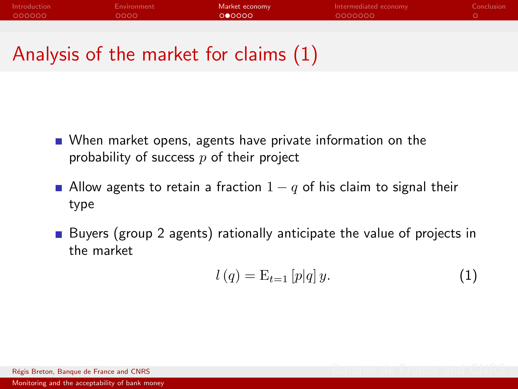| Introduction | <b>Environment</b> | Market economy | Intermediated economy | Conclusion |
|--------------|--------------------|----------------|-----------------------|------------|
| 000000       | റററെ               | 000000         | 0000000               |            |
|              |                    |                |                       |            |

## Analysis of the market for claims (1)

- When market opens, agents have private information on the probability of success  $p$  of their project
- Allow agents to retain a fraction  $1 q$  of his claim to signal their type
- Buyers (group 2 agents) rationally anticipate the value of projects in the market

$$
l\left(q\right) = \mathrm{E}_{t=1}\left[p|q\right]y.\tag{1}
$$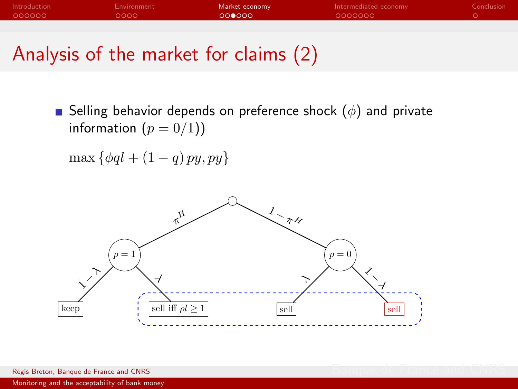| Introduction | Environment | Market economy | Intermediated economy | Conclusion |
|--------------|-------------|----------------|-----------------------|------------|
| 000000       | 0000        | 000000         | 0000000               |            |
|              |             |                |                       |            |

Analysis of the market for claims (2)

Selling behavior depends on preference shock  $(\phi)$  and private information  $(p = 0/1)$ 

 $\max \{\phi q l + (1-q) p y, p y\}$ 



Régis Breton, Banque de France and CNRS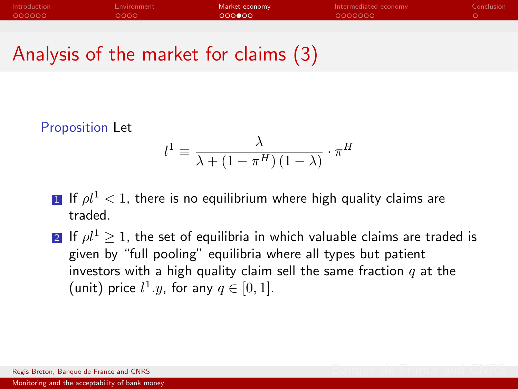| Introduction | Environment | Market economy | Intermediated economy | Conclusion |
|--------------|-------------|----------------|-----------------------|------------|
| - 000000     | 0000        | ററ <b>ൈ</b> റ  | 0000000               |            |
|              |             |                |                       |            |

## Analysis of the market for claims (3)

Proposition Let

$$
l^{1} \equiv \frac{\lambda}{\lambda + (1 - \pi^{H})(1 - \lambda)} \cdot \pi^{H}
$$

- **1** If  $\rho l^1 < 1$ , there is no equilibrium where high quality claims are traded.
- 2 If  $\rho l^1 \geq 1$ , the set of equilibria in which valuable claims are traded is given by "full pooling" equilibria where all types but patient investors with a high quality claim sell the same fraction  $q$  at the (unit) price  $l^1.y$ , for any  $q \in [0,1]$ .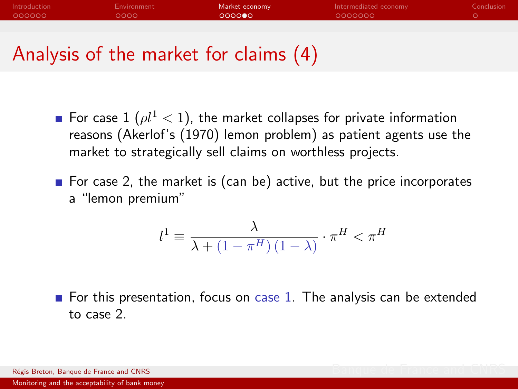| Introduction | Environment | Market economy | Intermediated economy | Conclusion |
|--------------|-------------|----------------|-----------------------|------------|
| - 000000     | LOOOO T     | റററ∩∩െ         | 0000000               |            |
|              |             |                |                       |            |

### Analysis of the market for claims (4)

- For case 1 ( $\rho l^1 < 1$ ), the market collapses for private information reasons (Akerlof's (1970) lemon problem) as patient agents use the market to strategically sell claims on worthless projects.
- For case 2, the market is (can be) active, but the price incorporates a "lemon premium"

$$
l^{1} \equiv \frac{\lambda}{\lambda + (1 - \pi^{H})(1 - \lambda)} \cdot \pi^{H} < \pi^{H}
$$

For this presentation, focus on case 1. The analysis can be extended to case 2.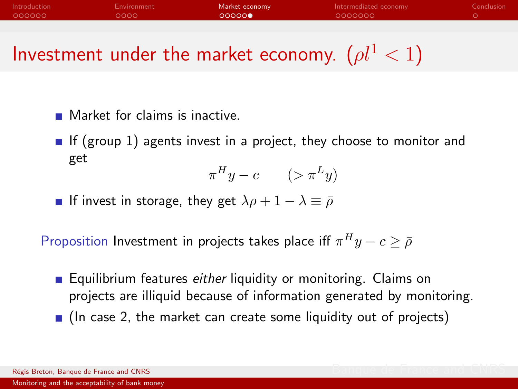| Introduction | Environment | Market economy | Intermediated economy | Conclusion |
|--------------|-------------|----------------|-----------------------|------------|
| 000000       | LOOOO "     | ററററെ          | - OOOOOOO             |            |
|              |             |                |                       |            |

Investment under the market economy.  $(\rho l^1 < 1)$ 

- **Market for claims is inactive.**
- If (group 1) agents invest in a project, they choose to monitor and get

$$
\pi^H y - c \qquad (> \pi^L y)
$$

**If invest in storage, they get**  $\lambda \rho + 1 - \lambda \equiv \overline{\rho}$ 

Proposition Investment in projects takes place iff  $\pi^H y - c \geq \bar{\rho}$ 

- **Equilibrium features** *either* liquidity or monitoring. Claims on projects are illiquid because of information generated by monitoring.
- $\blacksquare$  (In case 2, the market can create some liquidity out of projects)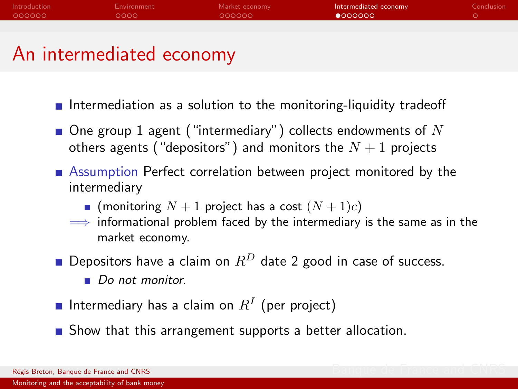| Introduction | Environment | Market economy | Intermediated economy | Conclusion |
|--------------|-------------|----------------|-----------------------|------------|
| - 000000     | റററെ        | 000000         | 0000000               |            |
|              |             |                |                       |            |

### An intermediated economy

- Intermediation as a solution to the monitoring-liquidity tradeoff
- $\blacksquare$  One group 1 agent ("intermediary") collects endowments of N others agents ("depositors") and monitors the  $N+1$  projects
- Assumption Perfect correlation between project monitored by the intermediary
	- **n** (monitoring  $N + 1$  project has a cost  $(N + 1)c$ )
	- $\implies$  informational problem faced by the intermediary is the same as in the market economy.
- **Depositors have a claim on**  $R^D$  **date 2 good in case of success.** Do not monitor.
- Intermediary has a claim on  $R^I$  (per project)
- <span id="page-17-0"></span>Show that this arrangement supports a better allocation.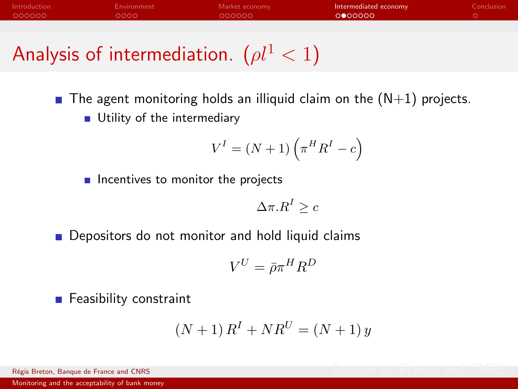| Introduction | Environment | Market economy | Intermediated economy | Conclusion |
|--------------|-------------|----------------|-----------------------|------------|
| 000000       | 0000        | 000000         | 0000000               |            |
|              |             |                |                       |            |

## Analysis of intermediation.  $(\rho l^1 < 1)$

The agent monitoring holds an illiquid claim on the  $(N+1)$  projects. Utility of the intermediary

$$
V^{I} = (N+1)\left(\pi^{H}R^{I} - c\right)
$$

**Incentives to monitor the projects** 

$$
\Delta \pi.R^I \geq c
$$

**Depositors do not monitor and hold liquid claims** 

$$
V^U = \bar{\rho} \pi^H R^D
$$

■ Feasibility constraint

$$
(N+1) R^{I} + NR^{U} = (N+1) y
$$

Régis Breton, Banque de France and CNRS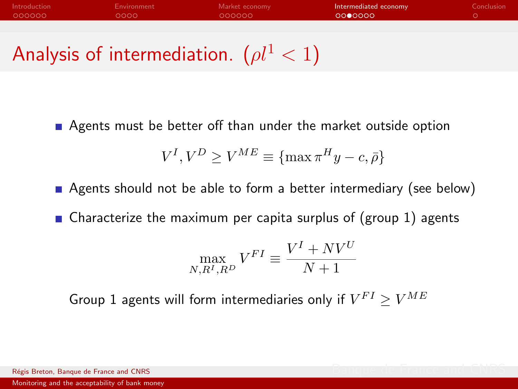| Introduction | <b>Environment</b> | Market economy | Intermediated economy | Conclusion |
|--------------|--------------------|----------------|-----------------------|------------|
| - 000000     | റററെ               | 000000         | 0000000               |            |
|              |                    |                |                       |            |

## Analysis of intermediation.  $(\rho l^1 < 1)$

Agents must be better off than under the market outside option

$$
V^{I}, V^{D} \ge V^{ME} \equiv \{\max \pi^{H}y - c, \bar{\rho}\}\
$$

**Agents should not be able to form a better intermediary (see below)** 

Gharacterize the maximum per capita surplus of (group 1) agents

$$
\max_{N,R^I,R^D} V^{FI} \equiv \frac{V^I + NV^U}{N+1}
$$

Group 1 agents will form intermediaries only if  $V^{FI} \geq V^{ME}$ 

Régis Breton, Banque de France and CNRS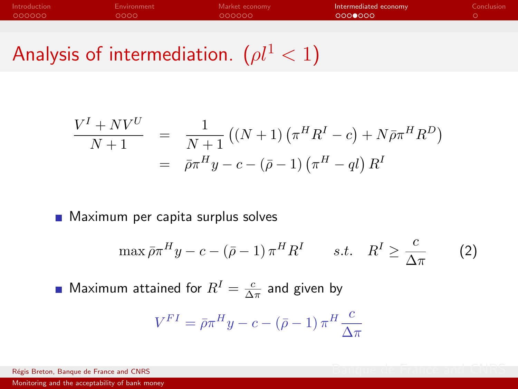| Introduction | <b>Environment</b> | Market economy | Intermediated economy | Conclusion |
|--------------|--------------------|----------------|-----------------------|------------|
| 000000       | 0000               | 000000         | :000●000'             |            |
|              |                    |                |                       |            |

Analysis of intermediation.  $(\rho l^1 < 1)$ 

$$
\frac{V^I + NV^U}{N+1} = \frac{1}{N+1} ((N+1) (\pi^H R^I - c) + N \bar{\rho} \pi^H R^D)
$$
  
=  $\bar{\rho} \pi^H y - c - (\bar{\rho} - 1) (\pi^H - ql) R^I$ 

**Maximum per capita surplus solves** 

$$
\max \bar{\rho}\pi^H y - c - (\bar{\rho} - 1)\pi^H R^I \qquad s.t. \quad R^I \ge \frac{c}{\Delta \pi} \tag{2}
$$

Maximum attained for  $R^I=\frac{c}{\Delta\pi}$  and given by

$$
V^{FI} = \bar{\rho}\pi^H y - c - (\bar{\rho} - 1)\pi^H \frac{c}{\Delta \pi}
$$

Régis Breton, Banque de France and CNRS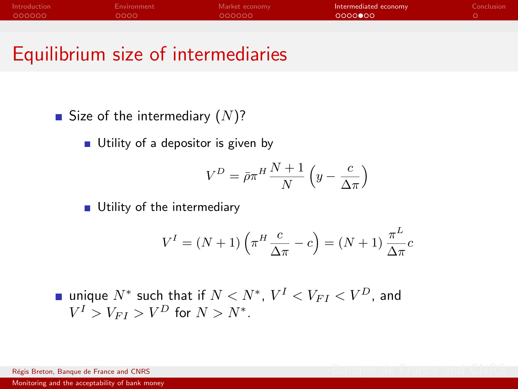| Introduction | Environment | Market economy | Intermediated economy | Conclusion |
|--------------|-------------|----------------|-----------------------|------------|
| 000000       | 0000        | 000000         | 0000000               |            |

#### Equilibrium size of intermediaries

Size of the intermediary  $(N)$ ?

Utility of a depositor is given by

$$
V^D = \bar{\rho}\pi^H \frac{N+1}{N} \left( y - \frac{c}{\Delta \pi} \right)
$$

**Utility of the intermediary** 

$$
V^{I} = (N+1)\left(\pi^{H}\frac{c}{\Delta \pi} - c\right) = (N+1)\frac{\pi^{L}}{\Delta \pi}c
$$

unique  $N^*$  such that if  $N < N^* , \ V^I < V_{FI} < V^D$ , and  $V^I > V_{FI} > V^D$  for  $N > N^*$ .

Régis Breton, Banque de France and CNRS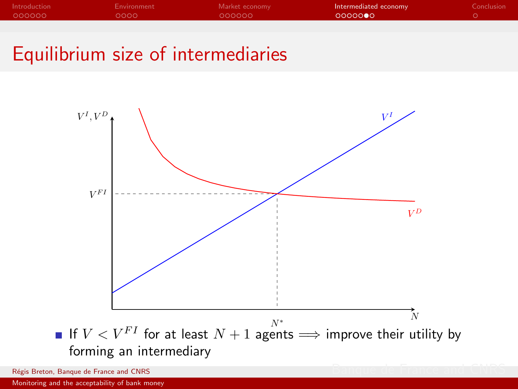| Introduction | Environment | Market economy | Intermediated economy | Conclusion |
|--------------|-------------|----------------|-----------------------|------------|
| - 000000     | 0000        | 000000         | ഹറററ⊜റ*               |            |
|              |             |                |                       |            |

### Equilibrium size of intermediaries



Régis Breton, Banque de France and CNRS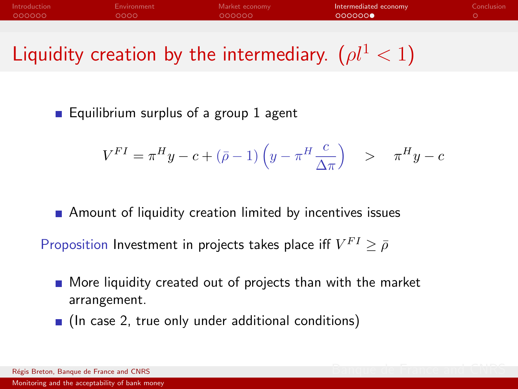| Introduction | <b>Environment</b> | Market economy | Intermediated economy | Conclusion |
|--------------|--------------------|----------------|-----------------------|------------|
| 000000       | റററെ               | loooooo        | 000000                |            |
|              |                    |                |                       |            |

Liquidity creation by the intermediary.  $(\rho l^1 < 1)$ 

**Equilibrium surplus of a group 1 agent** 

$$
V^{FI} = \pi^H y - c + (\bar{\rho} - 1) \left( y - \pi^H \frac{c}{\Delta \pi} \right) \quad > \quad \pi^H y - c
$$

**Amount of liquidity creation limited by incentives issues** 

Proposition Investment in projects takes place iff  $V^{FI}\geq \bar{\rho}$ 

- **More liquidity created out of projects than with the market** arrangement.
- $\blacksquare$  (In case 2, true only under additional conditions)